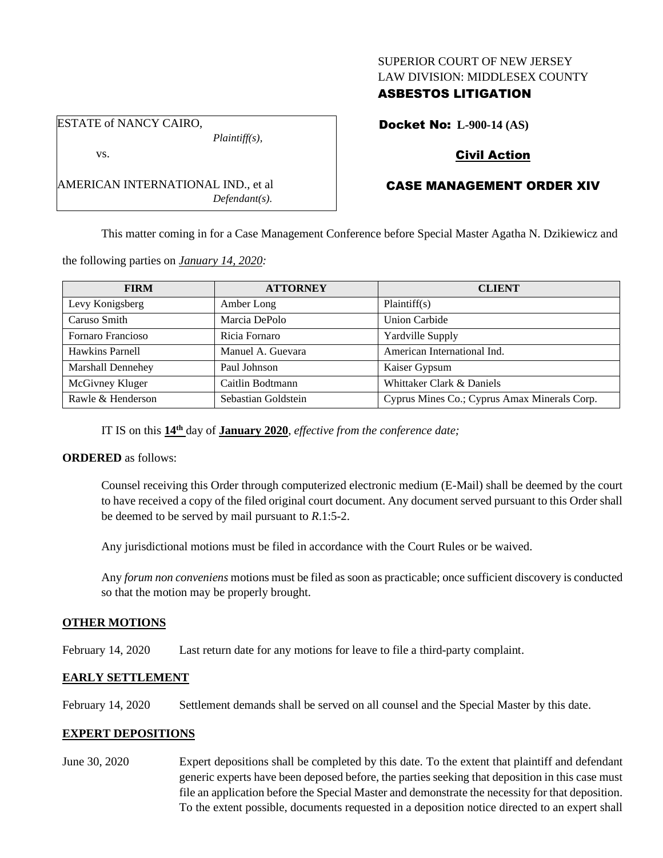#### SUPERIOR COURT OF NEW JERSEY LAW DIVISION: MIDDLESEX COUNTY

## ASBESTOS LITIGATION

ESTATE of NANCY CAIRO, *Plaintiff(s),*

vs.

AMERICAN INTERNATIONAL IND., et al *Defendant(s).* Docket No: **L-900-14 (AS)**

## Civil Action

# CASE MANAGEMENT ORDER XIV

This matter coming in for a Case Management Conference before Special Master Agatha N. Dzikiewicz and

the following parties on *January 14, 2020:*

| <b>FIRM</b>       | <b>ATTORNEY</b>     | <b>CLIENT</b>                                |
|-------------------|---------------------|----------------------------------------------|
| Levy Konigsberg   | Amber Long          | Plaintiff(s)                                 |
| Caruso Smith      | Marcia DePolo       | Union Carbide                                |
| Fornaro Francioso | Ricia Fornaro       | <b>Yardville Supply</b>                      |
| Hawkins Parnell   | Manuel A. Guevara   | American International Ind.                  |
| Marshall Dennehey | Paul Johnson        | Kaiser Gypsum                                |
| McGivney Kluger   | Caitlin Bodtmann    | Whittaker Clark & Daniels                    |
| Rawle & Henderson | Sebastian Goldstein | Cyprus Mines Co.; Cyprus Amax Minerals Corp. |

IT IS on this **14th** day of **January 2020**, *effective from the conference date;*

### **ORDERED** as follows:

Counsel receiving this Order through computerized electronic medium (E-Mail) shall be deemed by the court to have received a copy of the filed original court document. Any document served pursuant to this Order shall be deemed to be served by mail pursuant to *R*.1:5-2.

Any jurisdictional motions must be filed in accordance with the Court Rules or be waived.

Any *forum non conveniens* motions must be filed as soon as practicable; once sufficient discovery is conducted so that the motion may be properly brought.

### **OTHER MOTIONS**

February 14, 2020 Last return date for any motions for leave to file a third-party complaint.

### **EARLY SETTLEMENT**

February 14, 2020 Settlement demands shall be served on all counsel and the Special Master by this date.

### **EXPERT DEPOSITIONS**

June 30, 2020 Expert depositions shall be completed by this date. To the extent that plaintiff and defendant generic experts have been deposed before, the parties seeking that deposition in this case must file an application before the Special Master and demonstrate the necessity for that deposition. To the extent possible, documents requested in a deposition notice directed to an expert shall